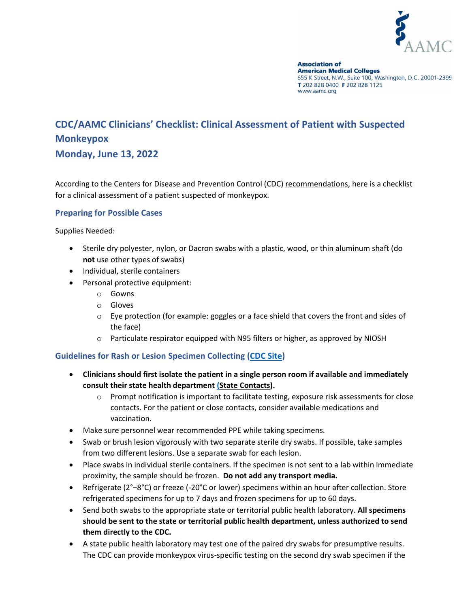

**Association of American Medical Colleges** 655 K Street, N.W., Suite 100, Washington, D.C. 20001-2399 T 202 828 0400 F 202 828 1125 www.aamc.org

# **CDC/AAMC Clinicians' Checklist: Clinical Assessment of Patient with Suspected Monkeypox**

## **Monday, June 13, 2022**

According to the Centers for Disease and Prevention Control (CDC[\) recommendations,](https://www.cdc.gov/poxvirus/monkeypox/index.html) here is a checklist for a clinical assessment of a patient suspected of monkeypox.

#### **Preparing for Possible Cases**

Supplies Needed:

- Sterile dry polyester, nylon, or Dacron swabs with a plastic, wood, or thin aluminum shaft (do **not** use other types of swabs)
- Individual, sterile containers
- Personal protective equipment:
	- o Gowns
	- o Gloves
	- $\circ$  Eye protection (for example: goggles or a face shield that covers the front and sides of the face)
	- o Particulate respirator equipped with N95 filters or higher, as approved by NIOSH

#### **Guidelines for Rash or Lesion Specimen Collecting [\(CDC Site\)](https://www.cdc.gov/poxvirus/monkeypox/clinicians/prep-collection-specimens.html)**

- **Clinicians should first isolate the patient in a single person room if available and immediately consult their state health departmen[t \(State Contacts\)](https://www.cdc.gov/publichealthgateway/healthdirectories/index.html).** 
	- o Prompt notification is important to facilitate testing, exposure risk assessments for close contacts. For the patient or close contacts, consider available medications and vaccination.
- Make sure personnel wear recommended PPE while taking specimens.
- Swab or brush lesion vigorously with two separate sterile dry swabs. If possible, take samples from two different lesions. Use a separate swab for each lesion.
- Place swabs in individual sterile containers. If the specimen is not sent to a lab within immediate proximity, the sample should be frozen. **Do not add any transport media.**
- Refrigerate (2°–8°C) or freeze (-20°C or lower) specimens within an hour after collection. Store refrigerated specimens for up to 7 days and frozen specimens for up to 60 days.
- Send both swabs to the appropriate state or territorial public health laboratory. **All specimens should be sent to the state or territorial public health department, unless authorized to send them directly to the CDC.**
- A state public health laboratory may test one of the paired dry swabs for presumptive results. The CDC can provide monkeypox virus-specific testing on the second dry swab specimen if the